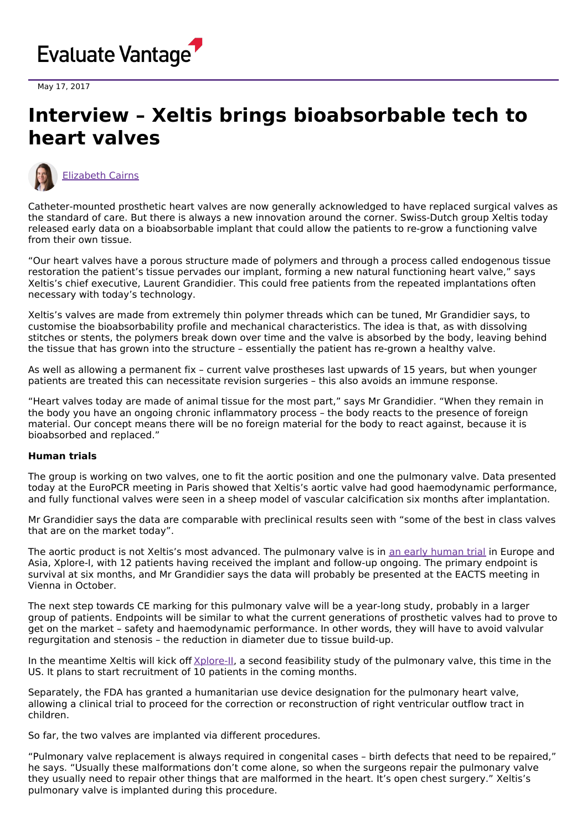

May 17, 2017

## **Interview – Xeltis brings bioabsorbable tech to heart valves**



[Elizabeth](https://www.evaluate.com/vantage/editorial-team/elizabeth-cairns) Cairns

Catheter-mounted prosthetic heart valves are now generally acknowledged to have replaced surgical valves as the standard of care. But there is always a new innovation around the corner. Swiss-Dutch group Xeltis today released early data on a bioabsorbable implant that could allow the patients to re-grow a functioning valve from their own tissue.

"Our heart valves have a porous structure made of polymers and through a process called endogenous tissue restoration the patient's tissue pervades our implant, forming a new natural functioning heart valve," says Xeltis's chief executive, Laurent Grandidier. This could free patients from the repeated implantations often necessary with today's technology.

Xeltis's valves are made from extremely thin polymer threads which can be tuned, Mr Grandidier says, to customise the bioabsorbability profile and mechanical characteristics. The idea is that, as with dissolving stitches or stents, the polymers break down over time and the valve is absorbed by the body, leaving behind the tissue that has grown into the structure – essentially the patient has re-grown a healthy valve.

As well as allowing a permanent fix – current valve prostheses last upwards of 15 years, but when younger patients are treated this can necessitate revision surgeries – this also avoids an immune response.

"Heart valves today are made of animal tissue for the most part," says Mr Grandidier. "When they remain in the body you have an ongoing chronic inflammatory process – the body reacts to the presence of foreign material. Our concept means there will be no foreign material for the body to react against, because it is bioabsorbed and replaced."

## **Human trials**

The group is working on two valves, one to fit the aortic position and one the pulmonary valve. Data presented today at the EuroPCR meeting in Paris showed that Xeltis's aortic valve had good haemodynamic performance, and fully functional valves were seen in a sheep model of vascular calcification six months after implantation.

Mr Grandidier says the data are comparable with preclinical results seen with "some of the best in class valves that are on the market today".

The aortic product is not Xeltis's most advanced. The pulmonary valve is in an early [human](https://clinicaltrials.gov/ct2/show/NCT02700100) trial in Europe and Asia, Xplore-I, with 12 patients having received the implant and follow-up ongoing. The primary endpoint is survival at six months, and Mr Grandidier says the data will probably be presented at the EACTS meeting in Vienna in October.

The next step towards CE marking for this pulmonary valve will be a year-long study, probably in a larger group of patients. Endpoints will be similar to what the current generations of prosthetic valves had to prove to get on the market – safety and haemodynamic performance. In other words, they will have to avoid valvular regurgitation and stenosis – the reduction in diameter due to tissue build-up.

In the meantime Xeltis will kick off [Xplore-II](https://clinicaltrials.gov/ct2/show/NCT03022708), a second feasibility study of the pulmonary valve, this time in the US. It plans to start recruitment of 10 patients in the coming months.

Separately, the FDA has granted a humanitarian use device designation for the pulmonary heart valve, allowing a clinical trial to proceed for the correction or reconstruction of right ventricular outflow tract in children.

So far, the two valves are implanted via different procedures.

"Pulmonary valve replacement is always required in congenital cases – birth defects that need to be repaired," he says. "Usually these malformations don't come alone, so when the surgeons repair the pulmonary valve they usually need to repair other things that are malformed in the heart. It's open chest surgery." Xeltis's pulmonary valve is implanted during this procedure.